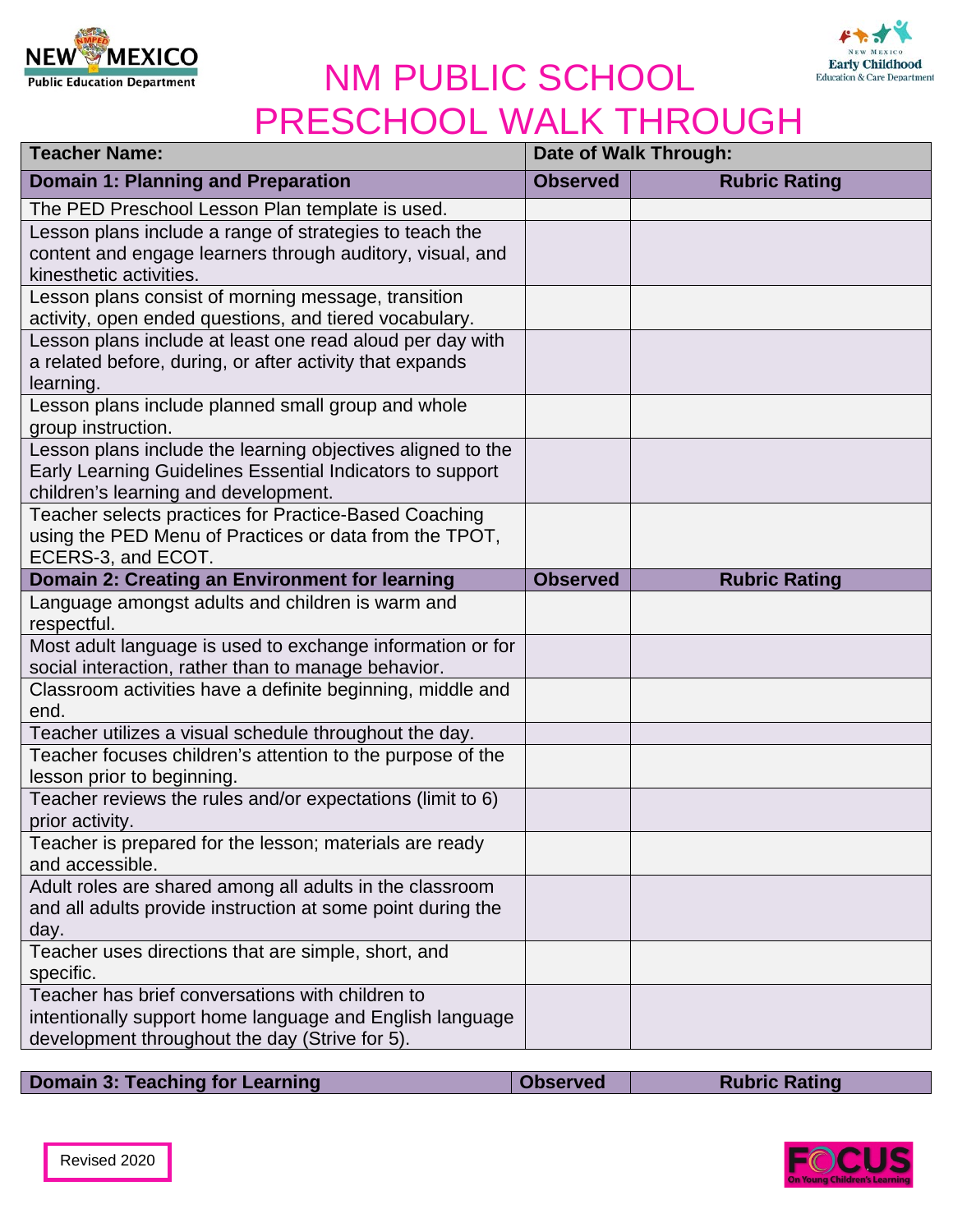



## NM PUBLIC SCHOOL PRESCHOOL WALK THROUGH

| <b>Teacher Name:</b>                                                          | Date of Walk Through: |                      |
|-------------------------------------------------------------------------------|-----------------------|----------------------|
| <b>Domain 1: Planning and Preparation</b>                                     | <b>Observed</b>       | <b>Rubric Rating</b> |
| The PED Preschool Lesson Plan template is used.                               |                       |                      |
| Lesson plans include a range of strategies to teach the                       |                       |                      |
| content and engage learners through auditory, visual, and                     |                       |                      |
| kinesthetic activities.                                                       |                       |                      |
| Lesson plans consist of morning message, transition                           |                       |                      |
| activity, open ended questions, and tiered vocabulary.                        |                       |                      |
| Lesson plans include at least one read aloud per day with                     |                       |                      |
| a related before, during, or after activity that expands                      |                       |                      |
| learning.                                                                     |                       |                      |
| Lesson plans include planned small group and whole<br>group instruction.      |                       |                      |
| Lesson plans include the learning objectives aligned to the                   |                       |                      |
| Early Learning Guidelines Essential Indicators to support                     |                       |                      |
| children's learning and development.                                          |                       |                      |
| Teacher selects practices for Practice-Based Coaching                         |                       |                      |
| using the PED Menu of Practices or data from the TPOT,                        |                       |                      |
| ECERS-3, and ECOT.                                                            |                       |                      |
| Domain 2: Creating an Environment for learning                                | <b>Observed</b>       | <b>Rubric Rating</b> |
| Language amongst adults and children is warm and                              |                       |                      |
| respectful.                                                                   |                       |                      |
| Most adult language is used to exchange information or for                    |                       |                      |
| social interaction, rather than to manage behavior.                           |                       |                      |
| Classroom activities have a definite beginning, middle and                    |                       |                      |
| end.                                                                          |                       |                      |
| Teacher utilizes a visual schedule throughout the day.                        |                       |                      |
| Teacher focuses children's attention to the purpose of the                    |                       |                      |
| lesson prior to beginning.                                                    |                       |                      |
| Teacher reviews the rules and/or expectations (limit to 6)<br>prior activity. |                       |                      |
| Teacher is prepared for the lesson; materials are ready                       |                       |                      |
| and accessible.                                                               |                       |                      |
| Adult roles are shared among all adults in the classroom                      |                       |                      |
| and all adults provide instruction at some point during the                   |                       |                      |
| day.                                                                          |                       |                      |
| Teacher uses directions that are simple, short, and                           |                       |                      |
| specific.                                                                     |                       |                      |
| Teacher has brief conversations with children to                              |                       |                      |
| intentionally support home language and English language                      |                       |                      |
| development throughout the day (Strive for 5).                                |                       |                      |

**Domain 3: Teaching for Learning <b>Constructed Rubric Rating Rubric Rating**